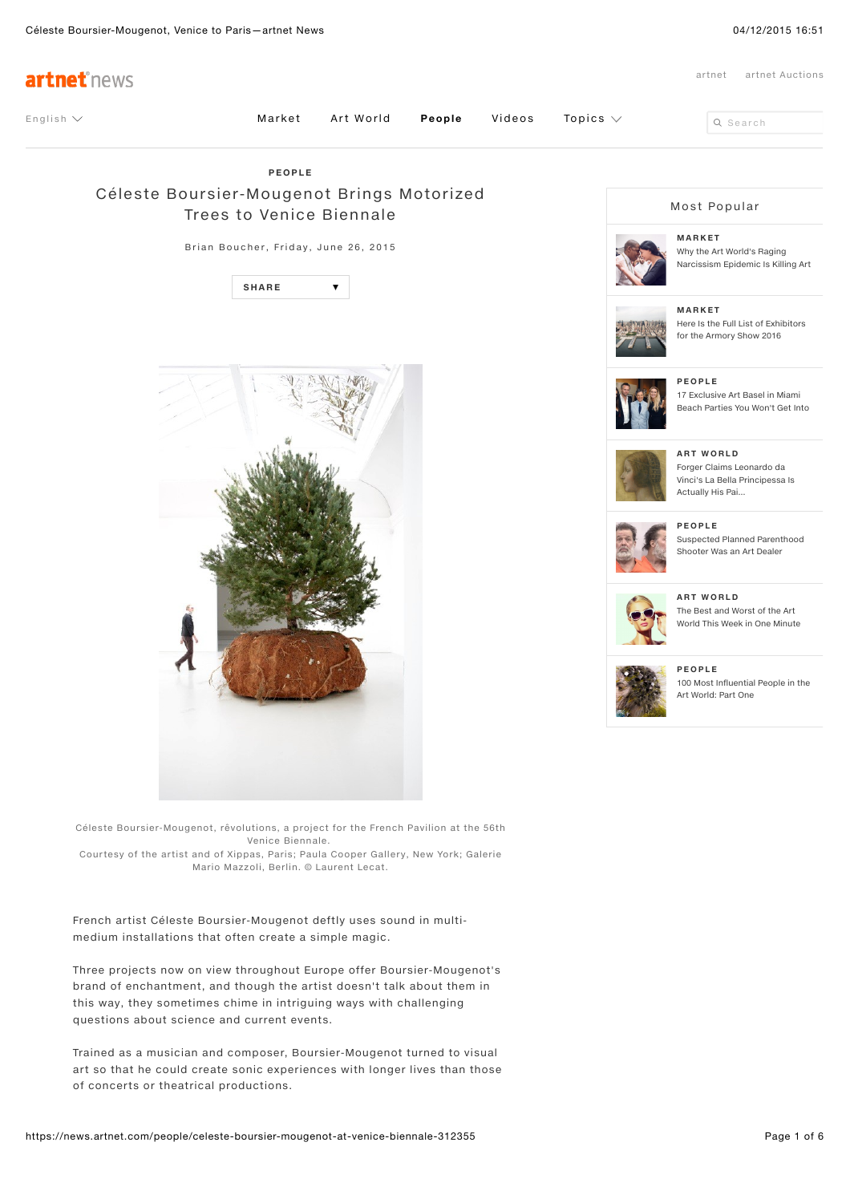

Trained as a musician and composer, Boursier-Mougenot turned to visual art so that he could create sonic experiences with longer lives than those of concerts or theatrical productions.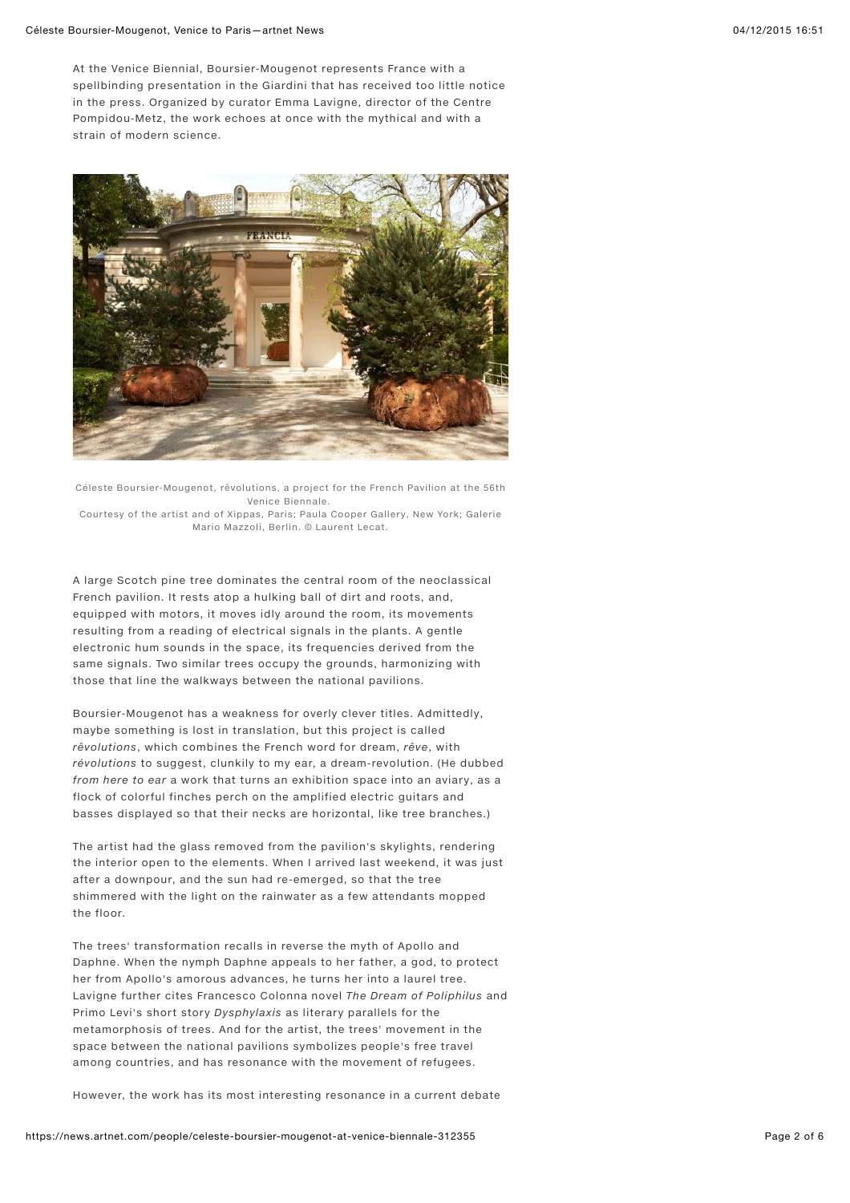At the Venice Biennial, Boursier-Mougenot represents France with a spellbinding presentation in the Giardini that has received too little notice in the press. Organized by curator Emma Lavigne, director of the Centre Pompidou-Metz, the work echoes at once with the mythical and with a strain of modern science.



Céleste Boursier-Mougenot, rêvolutions, a project for the French Pavilion at the 56th Venice Biennale. Courtesy of the artist and of Xippas, Paris; Paula Cooper Gallery, New York; Galerie

Mario Mazzoli, Berlin. © Laurent Lecat.

A large Scotch pine tree dominates the central room of the neoclassical French pavilion. It rests atop a hulking ball of dirt and roots, and, equipped with motors, it moves idly around the room, its movements resulting from a reading of electrical signals in the plants. A gentle electronic hum sounds in the space, its frequencies derived from the same signals. Two similar trees occupy the grounds, harmonizing with those that line the walkways between the national pavilions.

Boursier-Mougenot has a weakness for overly clever titles. Admittedly, maybe something is lost in translation, but this project is called rêvolutions, which combines the French word for dream, rêve, with révolutions to suggest, clunkily to my ear, a dream-revolution. (He dubbed from here to ear a work that turns an exhibition space into an aviary, as a flock of colorful finches perch on the amplified electric guitars and basses displayed so that their necks are horizontal, like tree branches.)

The artist had the glass removed from the pavilion's skylights, rendering the interior open to the elements. When I arrived last weekend, it was just after a downpour, and the sun had re-emerged, so that the tree shimmered with the light on the rainwater as a few attendants mopped the floor.

The trees' transformation recalls in reverse the myth of Apollo and Daphne. When the nymph Daphne appeals to her father, a god, to protect her from Apollo's amorous advances, he turns her into a laurel tree. Lavigne further cites Francesco Colonna novel The Dream of Poliphilus and Primo Levi's short story Dysphylaxis as literary parallels for the metamorphosis of trees. And for the artist, the trees' movement in the space between the national pavilions symbolizes people's free travel among countries, and has resonance with the movement of refugees.

However, the work has its most interesting resonance in a current debate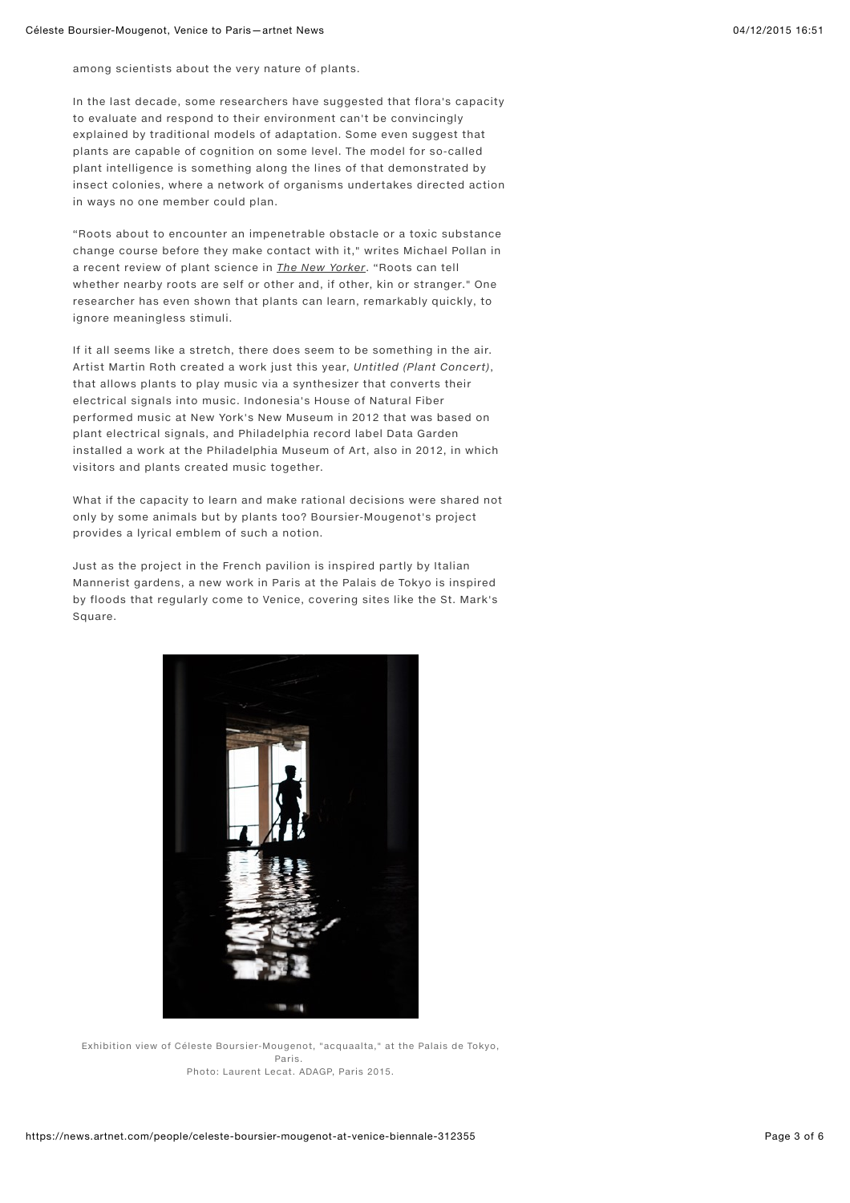among scientists about the very nature of plants.

In the last decade, some researchers have suggested that flora's capacity to evaluate and respond to their environment can't be convincingly explained by traditional models of adaptation. Some even suggest that plants are capable of cognition on some level. The model for so-called plant intelligence is something along the lines of that demonstrated by insect colonies, where a network of organisms undertakes directed action in ways no one member could plan.

"Roots about to encounter an impenetrable obstacle or a toxic substance change course before they make contact with it," writes Michael Pollan in a recent review of plant science in [The New Yorker](http://www.newyorker.com/magazine/2013/12/23/the-intelligent-plant). "Roots can tell whether nearby roots are self or other and, if other, kin or stranger." One researcher has even shown that plants can learn, remarkably quickly, to ignore meaningless stimuli.

If it all seems like a stretch, there does seem to be something in the air. Artist Martin Roth created a work just this year, Untitled (Plant Concert), that allows plants to play music via a synthesizer that converts their electrical signals into music. Indonesia's House of Natural Fiber performed music at New York's New Museum in 2012 that was based on plant electrical signals, and Philadelphia record label Data Garden installed a work at the Philadelphia Museum of Art, also in 2012, in which visitors and plants created music together.

What if the capacity to learn and make rational decisions were shared not only by some animals but by plants too? Boursier-Mougenot's project provides a lyrical emblem of such a notion.

Just as the project in the French pavilion is inspired partly by Italian Mannerist gardens, a new work in Paris at the Palais de Tokyo is inspired by floods that regularly come to Venice, covering sites like the St. Mark's Square.



Exhibition view of Céleste Boursier-Mougenot, "acquaalta," at the Palais de Tokyo, Paris. Photo: Laurent Lecat. ADAGP, Paris 2015.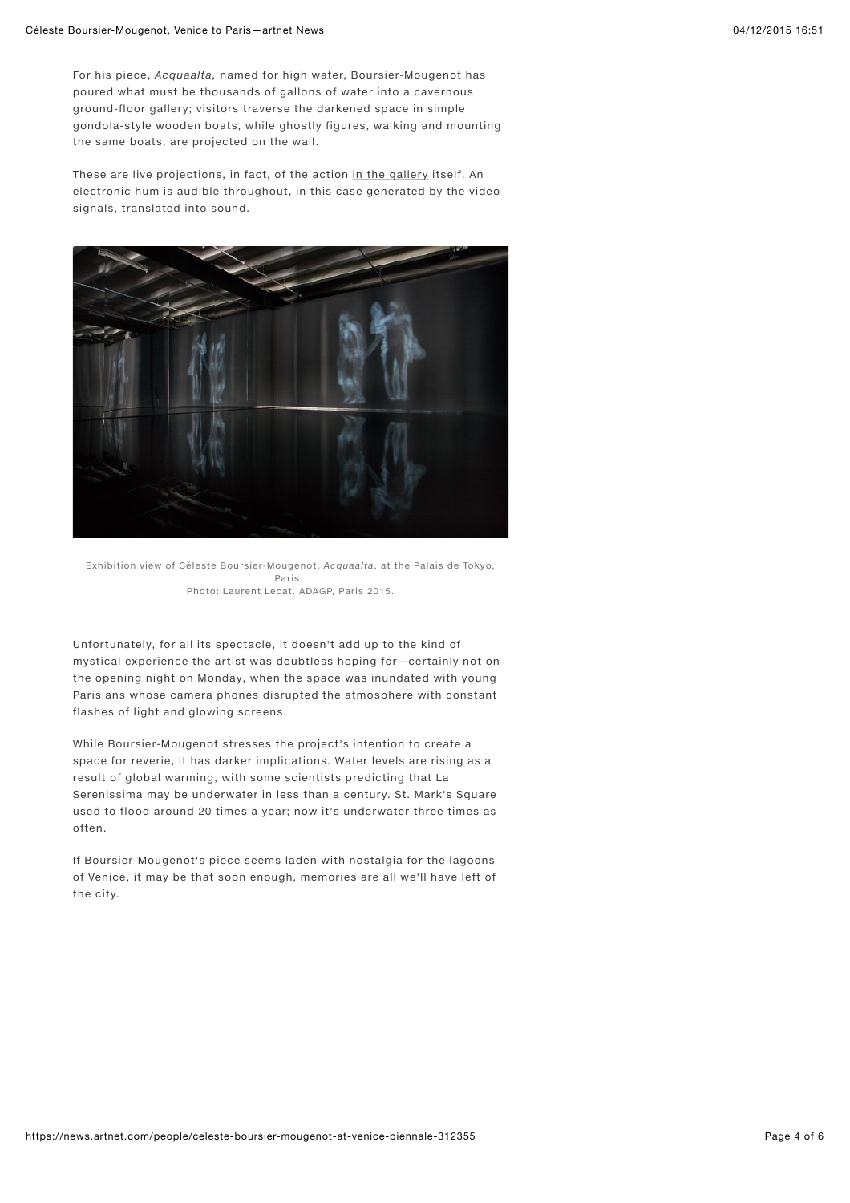For his piece, Acquaalta, named for high water, Boursier-Mougenot has poured what must be thousands of gallons of water into a cavernous ground-floor gallery; visitors traverse the darkened space in simple gondola-style wooden boats, while ghostly figures, walking and mounting the same boats, are projected on the wall.

These are live projections, in fact, of the action [in the gallery](http://www.artnet.com/galleries/in-the-gallery/) itself. An electronic hum is audible throughout, in this case generated by the video signals, translated into sound.



Exhibition view of Céleste Boursier-Mougenot, Acquaalta, at the Palais de Tokyo, Paris. Photo: Laurent Lecat. ADAGP, Paris 2015.

Unfortunately, for all its spectacle, it doesn't add up to the kind of mystical experience the artist was doubtless hoping for—certainly not on the opening night on Monday, when the space was inundated with young Parisians whose camera phones disrupted the atmosphere with constant flashes of light and glowing screens.

While Boursier-Mougenot stresses the project's intention to create a space for reverie, it has darker implications. Water levels are rising as a result of global warming, with some scientists predicting that La Serenissima may be underwater in less than a century. St. Mark's Square used to flood around 20 times a year; now it's underwater three times as often.

If Boursier-Mougenot's piece seems laden with nostalgia for the lagoons of Venice, it may be that soon enough, memories are all we'll have left of the city.